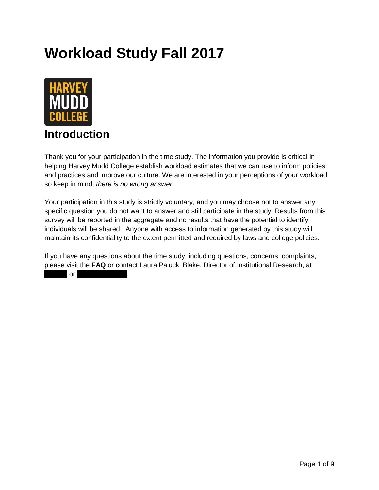## **Workload Study Fall 2017**



## **Introduction**

Thank you for your participation in the time study. The information you provide is critical in helping Harvey Mudd College establish workload estimates that we can use to inform policies and practices and improve our culture. We are interested in your perceptions of your workload, so keep in mind, *there is no wrong answer*.

Your participation in this study is strictly voluntary, and you may choose not to answer any specific question you do not want to answer and still participate in the study. Results from this survey will be reported in the aggregate and no results that have the potential to identify individuals will be shared. Anyone with access to information generated by this study will maintain its confidentiality to the extent permitted and required by laws and college policies.

If you have any questions about the time study, including questions, concerns, complaints, please visit the **FAQ** or contact Laura Palucki Blake, Director of Institutional Research, at

 $\overline{\phantom{a}}$  or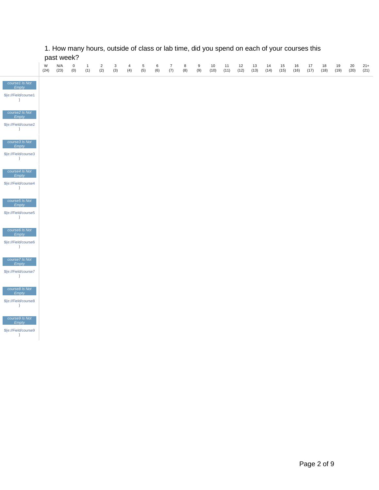|                                                                   |           | past week?  |                    |                     |                       |          |                       |                        |          |                                     |          |          |            |            |            |            |            |            |            |            |            |            |            |               |
|-------------------------------------------------------------------|-----------|-------------|--------------------|---------------------|-----------------------|----------|-----------------------|------------------------|----------|-------------------------------------|----------|----------|------------|------------|------------|------------|------------|------------|------------|------------|------------|------------|------------|---------------|
|                                                                   | W<br>(24) | N/A<br>(23) | $\mathbf 0$<br>(0) | $\mathbf{1}$<br>(1) | $\overline{2}$<br>(2) | 3<br>(3) | $\overline{4}$<br>(4) | $5\phantom{.0}$<br>(5) | 6<br>(6) | $\overline{7}$<br>$\left( 7\right)$ | 8<br>(8) | 9<br>(9) | 10<br>(10) | 11<br>(11) | 12<br>(12) | 13<br>(13) | 14<br>(14) | 15<br>(15) | 16<br>(16) | 17<br>(17) | 18<br>(18) | 19<br>(19) | 20<br>(20) | $21+$<br>(21) |
| course1 Is Not<br>Empty                                           |           |             |                    |                     |                       |          |                       |                        |          |                                     |          |          |            |            |            |            |            |            |            |            |            |            |            |               |
| \${e://Field/course1<br>$\rightarrow$                             |           |             |                    |                     |                       |          |                       |                        |          |                                     |          |          |            |            |            |            |            |            |            |            |            |            |            |               |
| course2 Is Not<br>Empty                                           |           |             |                    |                     |                       |          |                       |                        |          |                                     |          |          |            |            |            |            |            |            |            |            |            |            |            |               |
| \$(e://Field/course2<br>$\rightarrow$                             |           |             |                    |                     |                       |          |                       |                        |          |                                     |          |          |            |            |            |            |            |            |            |            |            |            |            |               |
| course3 Is Not<br>Empty                                           |           |             |                    |                     |                       |          |                       |                        |          |                                     |          |          |            |            |            |            |            |            |            |            |            |            |            |               |
| \${e://Field/course3<br>$\left\{\frac{1}{2}, \frac{1}{2}\right\}$ |           |             |                    |                     |                       |          |                       |                        |          |                                     |          |          |            |            |            |            |            |            |            |            |            |            |            |               |
| course4 Is Not<br>Empty                                           |           |             |                    |                     |                       |          |                       |                        |          |                                     |          |          |            |            |            |            |            |            |            |            |            |            |            |               |
| \${e://Field/course4<br>$\frac{16\pi}{3}$                         |           |             |                    |                     |                       |          |                       |                        |          |                                     |          |          |            |            |            |            |            |            |            |            |            |            |            |               |
| course5 Is Not<br>Empty                                           |           |             |                    |                     |                       |          |                       |                        |          |                                     |          |          |            |            |            |            |            |            |            |            |            |            |            |               |
| \${e://Field/course5<br>$\rightarrow$                             |           |             |                    |                     |                       |          |                       |                        |          |                                     |          |          |            |            |            |            |            |            |            |            |            |            |            |               |
| course6 Is Not<br>Empty                                           |           |             |                    |                     |                       |          |                       |                        |          |                                     |          |          |            |            |            |            |            |            |            |            |            |            |            |               |
| $E(e)/\text{Field}/\text{course6}$<br>$\rightarrow$               |           |             |                    |                     |                       |          |                       |                        |          |                                     |          |          |            |            |            |            |            |            |            |            |            |            |            |               |
| course7 Is Not<br>Empty                                           |           |             |                    |                     |                       |          |                       |                        |          |                                     |          |          |            |            |            |            |            |            |            |            |            |            |            |               |
| \${e://Field/course7<br>$\frac{1}{\sqrt{2}}$                      |           |             |                    |                     |                       |          |                       |                        |          |                                     |          |          |            |            |            |            |            |            |            |            |            |            |            |               |
| course8 Is Not<br>Empty                                           |           |             |                    |                     |                       |          |                       |                        |          |                                     |          |          |            |            |            |            |            |            |            |            |            |            |            |               |
| \${e://Field/course8<br>$\longrightarrow$                         |           |             |                    |                     |                       |          |                       |                        |          |                                     |          |          |            |            |            |            |            |            |            |            |            |            |            |               |
| course9 Is Not<br>Empty                                           |           |             |                    |                     |                       |          |                       |                        |          |                                     |          |          |            |            |            |            |            |            |            |            |            |            |            |               |
| \$(e://Field/course9<br>$\rightarrow$                             |           |             |                    |                     |                       |          |                       |                        |          |                                     |          |          |            |            |            |            |            |            |            |            |            |            |            |               |
|                                                                   |           |             |                    |                     |                       |          |                       |                        |          |                                     |          |          |            |            |            |            |            |            |            |            |            |            |            |               |
|                                                                   |           |             |                    |                     |                       |          |                       |                        |          |                                     |          |          |            |            |            |            |            |            |            |            |            |            |            |               |

## 1. How many hours, outside of class or lab time, did you spend on each of your courses this past week?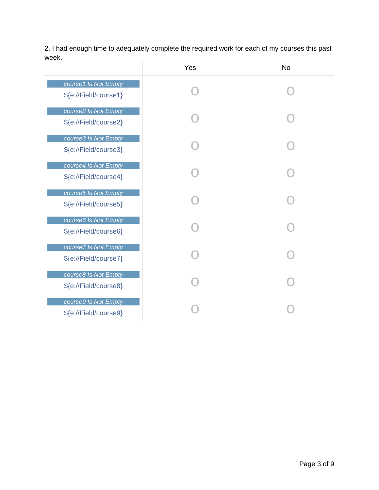2. I had enough time to adequately complete the required work for each of my courses this past week.  $\overline{1}$ 

|                                               | Yes | <b>No</b> |
|-----------------------------------------------|-----|-----------|
| course1 Is Not Empty<br>\${e://Field/course1} |     |           |
| course2 Is Not Empty<br>\${e://Field/course2} |     |           |
| course3 Is Not Empty<br>\${e://Field/course3} |     |           |
| course4 Is Not Empty<br>\${e://Field/course4} |     |           |
| course5 Is Not Empty<br>\${e://Field/course5} |     |           |
| course6 Is Not Empty<br>\${e://Field/course6} |     |           |
| course7 Is Not Empty<br>\${e://Field/course7} |     |           |
| course8 Is Not Empty<br>\${e://Field/course8} |     |           |
| course9 Is Not Empty<br>\${e://Field/course9} |     |           |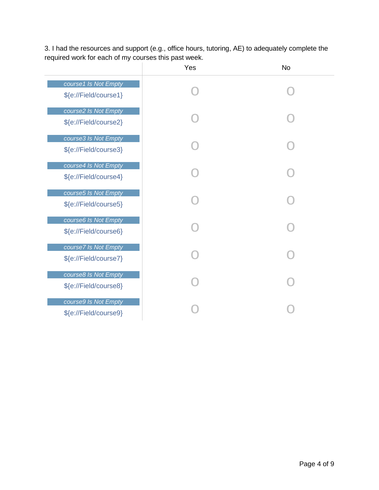|                                               | Yes | <b>No</b> |
|-----------------------------------------------|-----|-----------|
| course1 Is Not Empty<br>\${e://Field/course1} |     |           |
| course2 Is Not Empty<br>\${e://Field/course2} |     |           |
| course3 Is Not Empty<br>\${e://Field/course3} |     |           |
| course4 Is Not Empty<br>\${e://Field/course4} |     |           |
| course5 Is Not Empty<br>\${e://Field/course5} |     |           |
| course6 Is Not Empty<br>\${e://Field/course6} |     |           |
| course7 Is Not Empty<br>\${e://Field/course7} |     |           |
| course8 Is Not Empty<br>\${e://Field/course8} |     |           |
| course9 Is Not Empty<br>\${e://Field/course9} |     |           |

3. I had the resources and support (e.g., office hours, tutoring, AE) to adequately complete the required work for each of my courses this past week.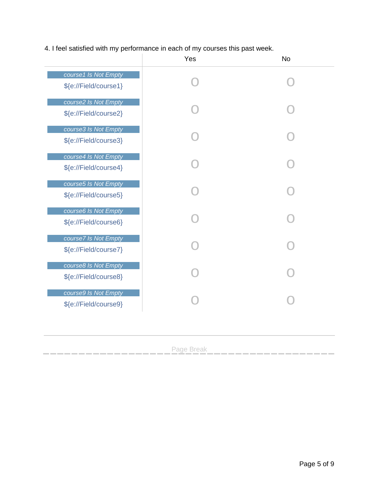4. I feel satisfied with my performance in each of my courses this past week.

|                                               | Yes | <b>No</b> |
|-----------------------------------------------|-----|-----------|
| course1 Is Not Empty<br>\${e://Field/course1} |     |           |
| course2 Is Not Empty<br>\${e://Field/course2} |     |           |
| course3 Is Not Empty<br>\${e://Field/course3} |     |           |
| course4 Is Not Empty<br>\${e://Field/course4} |     |           |
| course5 Is Not Empty<br>\${e://Field/course5} |     |           |
| course6 Is Not Empty<br>\${e://Field/course6} |     |           |
| course7 Is Not Empty<br>\${e://Field/course7} |     |           |
| course8 Is Not Empty<br>\${e://Field/course8} |     |           |
| course9 Is Not Empty<br>\${e://Field/course9} |     |           |
|                                               |     |           |

Page Break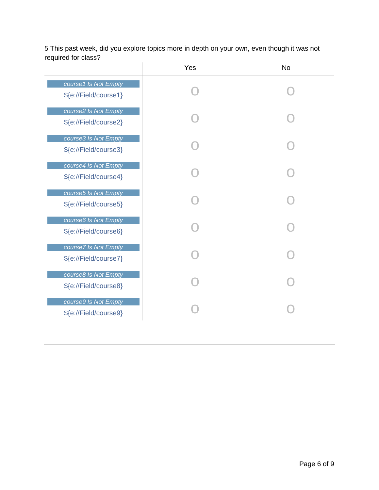5 This past week, did you explore topics more in depth on your own, even though it was not required for class?  $\overline{1}$ 

|                                               | Yes | <b>No</b> |
|-----------------------------------------------|-----|-----------|
| course1 Is Not Empty<br>\${e://Field/course1} |     |           |
| course2 Is Not Empty<br>\${e://Field/course2} |     |           |
| course3 Is Not Empty<br>\${e://Field/course3} |     |           |
| course4 Is Not Empty<br>\${e://Field/course4} |     |           |
| course5 Is Not Empty<br>\${e://Field/course5} |     |           |
| course6 Is Not Empty<br>\${e://Field/course6} |     |           |
| course7 Is Not Empty<br>\${e://Field/course7} |     |           |
| course8 Is Not Empty<br>\${e://Field/course8} |     |           |
| course9 Is Not Empty<br>\${e://Field/course9} |     |           |
|                                               |     |           |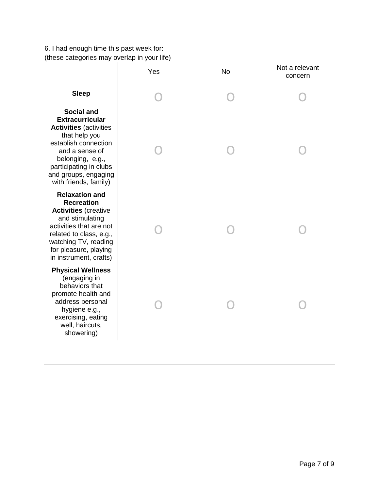6. I had enough time this past week for: (these categories may overlap in your life)

| Yes | <b>No</b> | Not a relevant<br>concern |
|-----|-----------|---------------------------|
|     |           |                           |
|     |           |                           |
|     |           |                           |
|     |           |                           |
|     |           |                           |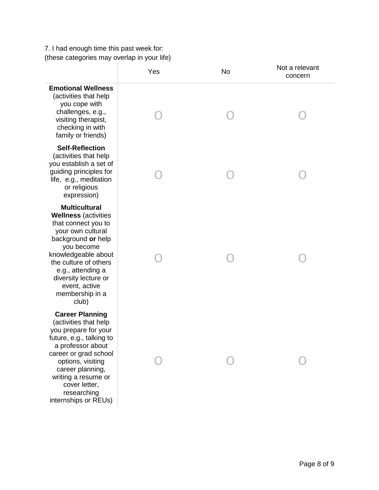7 . I had enough time this past week for: (these categories may overlap in your life)

|                                                                                                                                                                                                                                                                               | Yes | <b>No</b> | Not a relevant<br>concern |
|-------------------------------------------------------------------------------------------------------------------------------------------------------------------------------------------------------------------------------------------------------------------------------|-----|-----------|---------------------------|
| <b>Emotional Wellness</b><br>(activities that help<br>you cope with<br>challenges, e.g.,<br>visiting therapist,<br>checking in with<br>family or friends)                                                                                                                     |     |           |                           |
| <b>Self-Reflection</b><br>(activities that help<br>you establish a set of<br>guiding principles for<br>life, e.g., meditation<br>or religious<br>expression)                                                                                                                  |     |           |                           |
| <b>Multicultural</b><br><b>Wellness (activities</b><br>that connect you to<br>your own cultural<br>background or help<br>you become<br>knowledgeable about<br>the culture of others<br>e.g., attending a<br>diversity lecture or<br>event, active<br>membership in a<br>club) |     |           |                           |
| <b>Career Planning</b><br>(activities that help<br>you prepare for your<br>future, e.g., talking to<br>a professor about<br>career or grad school<br>options, visiting<br>career planning,<br>writing a resume or<br>cover letter,<br>researching<br>internships or REUs)     |     |           |                           |